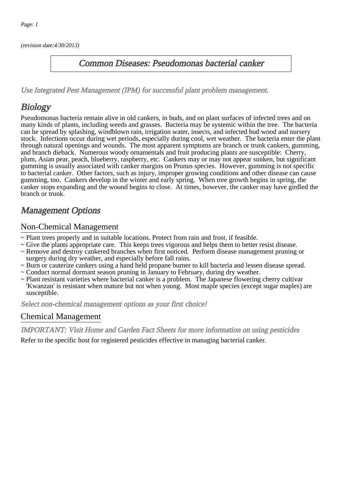(revision date:4/30/2013)

### Common Diseases: Pseudomonas bacterial canker

[Use Integrated Pest Management \(IPM\) for successful plant problem management.](http://pep.wsu.edu/Home_Garden/H_G_Pesticide_info/urban_Integrated_Pest_Managmen/)

# **Biology**

Pseudomonas bacteria remain alive in old cankers, in buds, and on plant surfaces of infected trees and on many kinds of plants, including weeds and grasses. Bacteria may be systemic within the tree. The bacteria can be spread by splashing, windblown rain, irrigation water, insects, and infected bud wood and nursery stock. Infections occur during wet periods, especially during cool, wet weather. The bacteria enter the plant through natural openings and wounds. The most apparent symptoms are branch or trunk cankers, gumming, and branch dieback. Numerous woody ornamentals and fruit producing plants are susceptible: Cherry, plum, Asian pear, peach, blueberry, raspberry, etc. Cankers may or may not appear sunken, but significant gumming is usually associated with canker margins on Prunus species. However, gumming is not specific to bacterial canker. Other factors, such as injury, improper growing conditions and other disease can cause gumming, too. Cankers develop in the winter and early spring. When tree growth begins in spring, the canker stops expanding and the wound begins to close. At times, however, the canker may have girdled the branch or trunk.

# Management Options

#### Non-Chemical Management

- ~ Plant trees properly and in suitable locations. Protect from rain and frost, if feasible.
- ~ Give the plants appropriate care. This keeps trees vigorous and helps them to better resist disease.
- ~ Remove and destroy cankered branches when first noticed. Perform disease management pruning or surgery during dry weather, and especially before fall rains.
- ~ Burn or cauterize cankers using a hand held propane burner to kill bacteria and lessen disease spread.
- ~ Conduct normal dormant season pruning in January to February, during dry weather.
- ~ Plant resistant varieties where bacterial canker is a problem. The Japanese flowering cherry cultivar 'Kwanzan' is resistant when mature but not when young. Most maple species (except sugar maples) are susceptible.

Select non-chemical management options as your first choice!

#### Chemical Management

IMPORTANT: [Visit Home and Garden Fact Sheets for more information on using pesticides](http://pep.wsu.edu/Home_Garden/H_G_Pesticide_info/)

Refer to the specific host for registered pesticides effective in managing bacterial canker.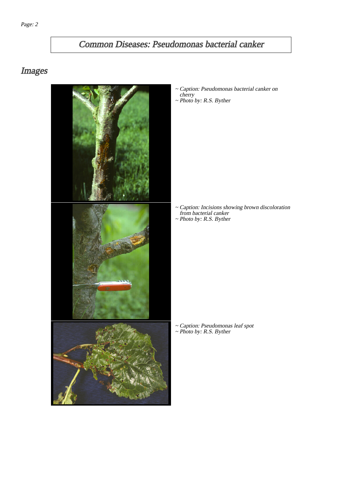# Common Diseases: Pseudomonas bacterial canker

## Images



Caption: Pseudomonas bacterial canker on apuo<br>cherry ~ Photo by: R.S. Byther

- 
- Caption: Incisions showing brown discoloration from bacterial canker ~
- ~ Photo by: R.S. Byther

~ Caption: Pseudomonas leaf spot ~ Photo by: R.S. Byther